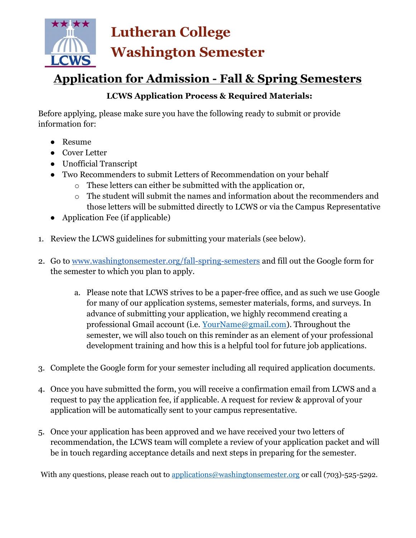

# Application for Admission - Fall & Spring Semesters

### LCWS Application Process & Required Materials:

Before applying, please make sure you have the following ready to submit or provide information for:

- Resume
- Cover Letter
- Unofficial Transcript
- Two Recommenders to submit Letters of Recommendation on your behalf
	- o These letters can either be submitted with the application or,
	- o The student will submit the names and information about the recommenders and those letters will be submitted directly to LCWS or via the Campus Representative
- Application Fee (if applicable)
- 1. Review the LCWS guidelines for submitting your materials (see below).
- 2. Go to www.washingtonsemester.org/fall-spring-semesters and fill out the Google form for the semester to which you plan to apply.
	- a. Please note that LCWS strives to be a paper-free office, and as such we use Google for many of our application systems, semester materials, forms, and surveys. In advance of submitting your application, we highly recommend creating a professional Gmail account (i.e. YourName@gmail.com). Throughout the semester, we will also touch on this reminder as an element of your professional development training and how this is a helpful tool for future job applications.
- 3. Complete the Google form for your semester including all required application documents.
- 4. Once you have submitted the form, you will receive a confirmation email from LCWS and a request to pay the application fee, if applicable. A request for review & approval of your application will be automatically sent to your campus representative.
- 5. Once your application has been approved and we have received your two letters of recommendation, the LCWS team will complete a review of your application packet and will be in touch regarding acceptance details and next steps in preparing for the semester.

With any questions, please reach out to applications@washingtonsemester.org or call (703)-525-5292.